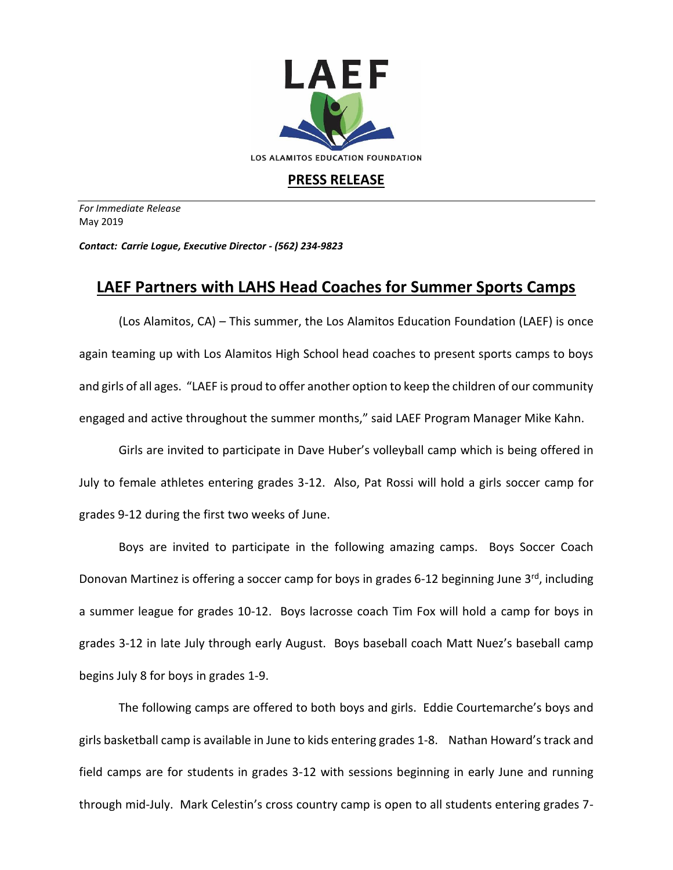

## **PRESS RELEASE**

*For Immediate Release*  May 2019

*Contact: Carrie Logue, Executive Director - (562) 234-9823*

## **LAEF Partners with LAHS Head Coaches for Summer Sports Camps**

(Los Alamitos, CA) – This summer, the Los Alamitos Education Foundation (LAEF) is once again teaming up with Los Alamitos High School head coaches to present sports camps to boys and girls of all ages. "LAEF is proud to offer another option to keep the children of our community engaged and active throughout the summer months," said LAEF Program Manager Mike Kahn.

Girls are invited to participate in Dave Huber's volleyball camp which is being offered in July to female athletes entering grades 3-12. Also, Pat Rossi will hold a girls soccer camp for grades 9-12 during the first two weeks of June.

Boys are invited to participate in the following amazing camps. Boys Soccer Coach Donovan Martinez is offering a soccer camp for boys in grades 6-12 beginning June 3<sup>rd</sup>, including a summer league for grades 10-12. Boys lacrosse coach Tim Fox will hold a camp for boys in grades 3-12 in late July through early August. Boys baseball coach Matt Nuez's baseball camp begins July 8 for boys in grades 1-9.

The following camps are offered to both boys and girls. Eddie Courtemarche's boys and girls basketball camp is available in June to kids entering grades 1-8. Nathan Howard's track and field camps are for students in grades 3-12 with sessions beginning in early June and running through mid-July. Mark Celestin's cross country camp is open to all students entering grades 7